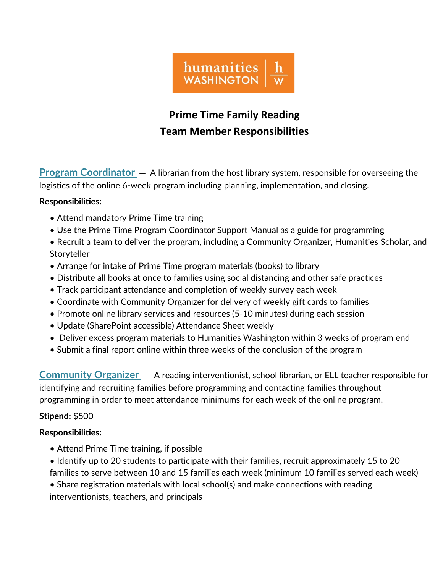

# **Prime Time Family Reading Team Member Responsibilities**

**Program Coordinator** — A librarian from the host library system, responsible for overseeing the logistics of the online 6-week program including planning, implementation, and closing.

# **Responsibilities:**

- Attend mandatory Prime Time training
- Use the Prime Time Program Coordinator Support Manual as a guide for programming
- Recruit a team to deliver the program, including a Community Organizer, Humanities Scholar, and Storyteller
- Arrange for intake of Prime Time program materials (books) to library
- Distribute all books at once to families using social distancing and other safe practices
- Track participant attendance and completion of weekly survey each week
- Coordinate with Community Organizer for delivery of weekly gift cards to families
- Promote online library services and resources (5-10 minutes) during each session
- Update (SharePoint accessible) Attendance Sheet weekly
- Deliver excess program materials to Humanities Washington within 3 weeks of program end
- Submit a final report online within three weeks of the conclusion of the program

**Community Organizer** — A reading interventionist, school librarian, or ELL teacher responsible for identifying and recruiting families before programming and contacting families throughout programming in order to meet attendance minimums for each week of the online program.

# **Stipend:** \$500

# **Responsibilities:**

- Attend Prime Time training, if possible
- Identify up to 20 students to participate with their families, recruit approximately 15 to 20 families to serve between 10 and 15 families each week (minimum 10 families served each week)
- Share registration materials with local school(s) and make connections with reading interventionists, teachers, and principals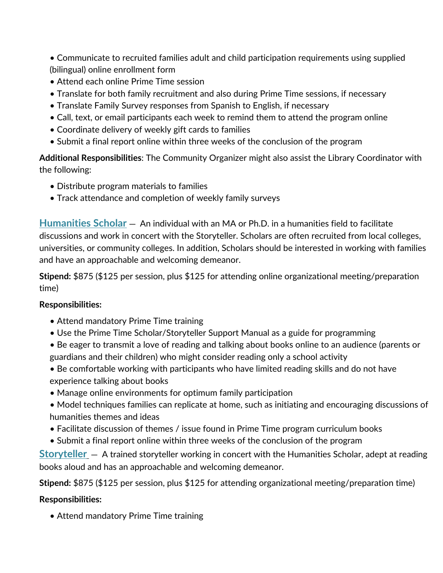• Communicate to recruited families adult and child participation requirements using supplied (bilingual) online enrollment form

- Attend each online Prime Time session
- Translate for both family recruitment and also during Prime Time sessions, if necessary
- Translate Family Survey responses from Spanish to English, if necessary
- Call, text, or email participants each week to remind them to attend the program online
- Coordinate delivery of weekly gift cards to families
- Submit a final report online within three weeks of the conclusion of the program

**Additional Responsibilities**: The Community Organizer might also assist the Library Coordinator with the following:

- Distribute program materials to families
- Track attendance and completion of weekly family surveys

**Humanities Scholar** — An individual with an MA or Ph.D. in a humanities field to facilitate discussions and work in concert with the Storyteller. Scholars are often recruited from local colleges, universities, or community colleges. In addition, Scholars should be interested in working with families and have an approachable and welcoming demeanor.

**Stipend:** \$875 (\$125 per session, plus \$125 for attending online organizational meeting/preparation time)

# **Responsibilities:**

- Attend mandatory Prime Time training
- Use the Prime Time Scholar/Storyteller Support Manual as a guide for programming
- Be eager to transmit a love of reading and talking about books online to an audience (parents or guardians and their children) who might consider reading only a school activity
- Be comfortable working with participants who have limited reading skills and do not have experience talking about books
- Manage online environments for optimum family participation
- Model techniques families can replicate at home, such as initiating and encouraging discussions of humanities themes and ideas
- Facilitate discussion of themes / issue found in Prime Time program curriculum books
- Submit a final report online within three weeks of the conclusion of the program

**Storyteller** — A trained storyteller working in concert with the Humanities Scholar, adept at reading books aloud and has an approachable and welcoming demeanor.

**Stipend:** \$875 (\$125 per session, plus \$125 for attending organizational meeting/preparation time)

# **Responsibilities:**

• Attend mandatory Prime Time training